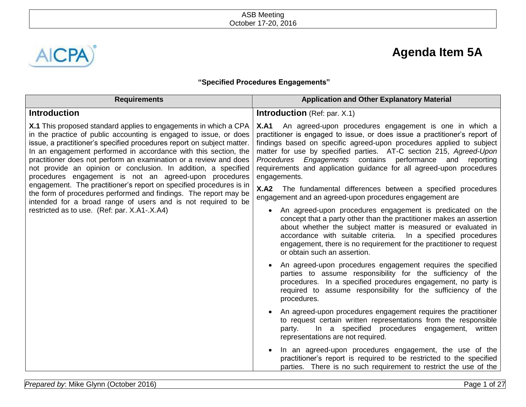

# **Agenda Item 5A**

# **"Specified Procedures Engagements"**

| <b>Requirements</b>                                                                                                                                                                                                                                                                                                                                                                                                                                                                                                                                                                                                                                                                                                                                    | <b>Application and Other Explanatory Material</b>                                                                                                                                                                                                                                                                                                                                                                                                   |  |  |
|--------------------------------------------------------------------------------------------------------------------------------------------------------------------------------------------------------------------------------------------------------------------------------------------------------------------------------------------------------------------------------------------------------------------------------------------------------------------------------------------------------------------------------------------------------------------------------------------------------------------------------------------------------------------------------------------------------------------------------------------------------|-----------------------------------------------------------------------------------------------------------------------------------------------------------------------------------------------------------------------------------------------------------------------------------------------------------------------------------------------------------------------------------------------------------------------------------------------------|--|--|
| <b>Introduction</b>                                                                                                                                                                                                                                                                                                                                                                                                                                                                                                                                                                                                                                                                                                                                    | <b>Introduction</b> (Ref: par. X.1)                                                                                                                                                                                                                                                                                                                                                                                                                 |  |  |
| <b>X.1</b> This proposed standard applies to engagements in which a CPA<br>in the practice of public accounting is engaged to issue, or does<br>issue, a practitioner's specified procedures report on subject matter.<br>In an engagement performed in accordance with this section, the<br>practitioner does not perform an examination or a review and does<br>not provide an opinion or conclusion. In addition, a specified<br>procedures engagement is not an agreed-upon procedures<br>engagement. The practitioner's report on specified procedures is in<br>the form of procedures performed and findings. The report may be<br>intended for a broad range of users and is not required to be<br>restricted as to use. (Ref: par. X.A1-.X.A4) | <b>X.A1</b> An agreed-upon procedures engagement is one in which a<br>practitioner is engaged to issue, or does issue a practitioner's report of<br>findings based on specific agreed-upon procedures applied to subject<br>matter for use by specified parties. AT-C section 215, Agreed-Upon<br>Procedures Engagements contains performance and reporting<br>requirements and application guidance for all agreed-upon procedures<br>engagements. |  |  |
|                                                                                                                                                                                                                                                                                                                                                                                                                                                                                                                                                                                                                                                                                                                                                        | <b>X.A2</b> The fundamental differences between a specified procedures<br>engagement and an agreed-upon procedures engagement are                                                                                                                                                                                                                                                                                                                   |  |  |
|                                                                                                                                                                                                                                                                                                                                                                                                                                                                                                                                                                                                                                                                                                                                                        | An agreed-upon procedures engagement is predicated on the<br>$\bullet$<br>concept that a party other than the practitioner makes an assertion<br>about whether the subject matter is measured or evaluated in<br>accordance with suitable criteria. In a specified procedures<br>engagement, there is no requirement for the practitioner to request<br>or obtain such an assertion.                                                                |  |  |
|                                                                                                                                                                                                                                                                                                                                                                                                                                                                                                                                                                                                                                                                                                                                                        | An agreed-upon procedures engagement requires the specified<br>parties to assume responsibility for the sufficiency of the<br>procedures. In a specified procedures engagement, no party is<br>required to assume responsibility for the sufficiency of the<br>procedures.                                                                                                                                                                          |  |  |
|                                                                                                                                                                                                                                                                                                                                                                                                                                                                                                                                                                                                                                                                                                                                                        | An agreed-upon procedures engagement requires the practitioner<br>to request certain written representations from the responsible<br>In a specified procedures engagement, written<br>party.<br>representations are not required.                                                                                                                                                                                                                   |  |  |
|                                                                                                                                                                                                                                                                                                                                                                                                                                                                                                                                                                                                                                                                                                                                                        | In an agreed-upon procedures engagement, the use of the<br>practitioner's report is required to be restricted to the specified<br>parties. There is no such requirement to restrict the use of the                                                                                                                                                                                                                                                  |  |  |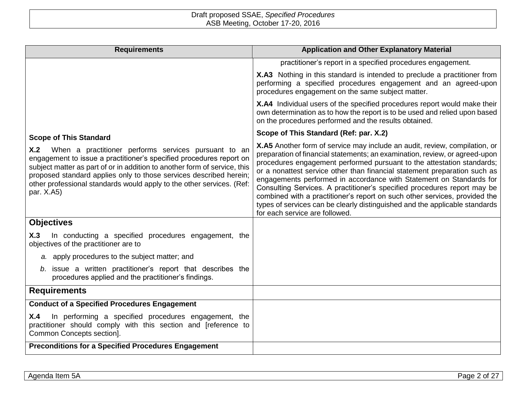| <b>Requirements</b>                                                                                                                                                                                                                                                                                                                                                          | <b>Application and Other Explanatory Material</b>                                                                                                                                                                                                                                                                                                                                                                                                                                                                                                                                                                                                                         |
|------------------------------------------------------------------------------------------------------------------------------------------------------------------------------------------------------------------------------------------------------------------------------------------------------------------------------------------------------------------------------|---------------------------------------------------------------------------------------------------------------------------------------------------------------------------------------------------------------------------------------------------------------------------------------------------------------------------------------------------------------------------------------------------------------------------------------------------------------------------------------------------------------------------------------------------------------------------------------------------------------------------------------------------------------------------|
|                                                                                                                                                                                                                                                                                                                                                                              | practitioner's report in a specified procedures engagement.                                                                                                                                                                                                                                                                                                                                                                                                                                                                                                                                                                                                               |
|                                                                                                                                                                                                                                                                                                                                                                              | <b>X.A3</b> Nothing in this standard is intended to preclude a practitioner from<br>performing a specified procedures engagement and an agreed-upon<br>procedures engagement on the same subject matter.                                                                                                                                                                                                                                                                                                                                                                                                                                                                  |
|                                                                                                                                                                                                                                                                                                                                                                              | X.A4 Individual users of the specified procedures report would make their<br>own determination as to how the report is to be used and relied upon based<br>on the procedures performed and the results obtained.                                                                                                                                                                                                                                                                                                                                                                                                                                                          |
| <b>Scope of This Standard</b>                                                                                                                                                                                                                                                                                                                                                | Scope of This Standard (Ref: par. X.2)                                                                                                                                                                                                                                                                                                                                                                                                                                                                                                                                                                                                                                    |
| When a practitioner performs services pursuant to an<br>X.2<br>engagement to issue a practitioner's specified procedures report on<br>subject matter as part of or in addition to another form of service, this<br>proposed standard applies only to those services described herein;<br>other professional standards would apply to the other services. (Ref:<br>par. X.A5) | <b>X.A5</b> Another form of service may include an audit, review, compilation, or<br>preparation of financial statements; an examination, review, or agreed-upon<br>procedures engagement performed pursuant to the attestation standards;<br>or a nonattest service other than financial statement preparation such as<br>engagements performed in accordance with Statement on Standards for<br>Consulting Services. A practitioner's specified procedures report may be<br>combined with a practitioner's report on such other services, provided the<br>types of services can be clearly distinguished and the applicable standards<br>for each service are followed. |
| <b>Objectives</b>                                                                                                                                                                                                                                                                                                                                                            |                                                                                                                                                                                                                                                                                                                                                                                                                                                                                                                                                                                                                                                                           |
| In conducting a specified procedures engagement, the<br>X.3<br>objectives of the practitioner are to                                                                                                                                                                                                                                                                         |                                                                                                                                                                                                                                                                                                                                                                                                                                                                                                                                                                                                                                                                           |
| a. apply procedures to the subject matter; and                                                                                                                                                                                                                                                                                                                               |                                                                                                                                                                                                                                                                                                                                                                                                                                                                                                                                                                                                                                                                           |
| b. issue a written practitioner's report that describes the<br>procedures applied and the practitioner's findings.                                                                                                                                                                                                                                                           |                                                                                                                                                                                                                                                                                                                                                                                                                                                                                                                                                                                                                                                                           |
| <b>Requirements</b>                                                                                                                                                                                                                                                                                                                                                          |                                                                                                                                                                                                                                                                                                                                                                                                                                                                                                                                                                                                                                                                           |
| <b>Conduct of a Specified Procedures Engagement</b>                                                                                                                                                                                                                                                                                                                          |                                                                                                                                                                                                                                                                                                                                                                                                                                                                                                                                                                                                                                                                           |
| In performing a specified procedures engagement, the<br>X.4<br>practitioner should comply with this section and [reference to<br>Common Concepts section].                                                                                                                                                                                                                   |                                                                                                                                                                                                                                                                                                                                                                                                                                                                                                                                                                                                                                                                           |
| <b>Preconditions for a Specified Procedures Engagement</b>                                                                                                                                                                                                                                                                                                                   |                                                                                                                                                                                                                                                                                                                                                                                                                                                                                                                                                                                                                                                                           |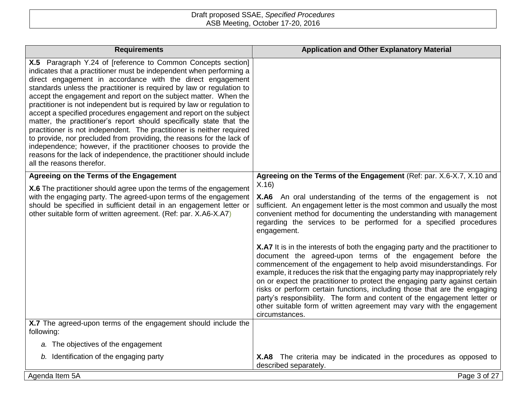| <b>Requirements</b>                                                                                                                                                                                                                                                                                                                                                                                                                                                                                                                                                                                                                                                                                                                                                                                                                                                                                  | <b>Application and Other Explanatory Material</b>                                                                                                                                                                                                                                                                                                                                                                                                                                                                                                                                                                                                                                                                                                                                                                                                                                                                                         |
|------------------------------------------------------------------------------------------------------------------------------------------------------------------------------------------------------------------------------------------------------------------------------------------------------------------------------------------------------------------------------------------------------------------------------------------------------------------------------------------------------------------------------------------------------------------------------------------------------------------------------------------------------------------------------------------------------------------------------------------------------------------------------------------------------------------------------------------------------------------------------------------------------|-------------------------------------------------------------------------------------------------------------------------------------------------------------------------------------------------------------------------------------------------------------------------------------------------------------------------------------------------------------------------------------------------------------------------------------------------------------------------------------------------------------------------------------------------------------------------------------------------------------------------------------------------------------------------------------------------------------------------------------------------------------------------------------------------------------------------------------------------------------------------------------------------------------------------------------------|
| X.5 Paragraph Y.24 of [reference to Common Concepts section]<br>indicates that a practitioner must be independent when performing a<br>direct engagement in accordance with the direct engagement<br>standards unless the practitioner is required by law or regulation to<br>accept the engagement and report on the subject matter. When the<br>practitioner is not independent but is required by law or regulation to<br>accept a specified procedures engagement and report on the subject<br>matter, the practitioner's report should specifically state that the<br>practitioner is not independent. The practitioner is neither required<br>to provide, nor precluded from providing, the reasons for the lack of<br>independence; however, if the practitioner chooses to provide the<br>reasons for the lack of independence, the practitioner should include<br>all the reasons therefor. |                                                                                                                                                                                                                                                                                                                                                                                                                                                                                                                                                                                                                                                                                                                                                                                                                                                                                                                                           |
| Agreeing on the Terms of the Engagement                                                                                                                                                                                                                                                                                                                                                                                                                                                                                                                                                                                                                                                                                                                                                                                                                                                              | Agreeing on the Terms of the Engagement (Ref: par. X.6-X.7, X.10 and                                                                                                                                                                                                                                                                                                                                                                                                                                                                                                                                                                                                                                                                                                                                                                                                                                                                      |
| X.6 The practitioner should agree upon the terms of the engagement<br>with the engaging party. The agreed-upon terms of the engagement<br>should be specified in sufficient detail in an engagement letter or<br>other suitable form of written agreement. (Ref: par. X.A6-X.A7)                                                                                                                                                                                                                                                                                                                                                                                                                                                                                                                                                                                                                     | X.16<br>X.A6 An oral understanding of the terms of the engagement is not<br>sufficient. An engagement letter is the most common and usually the most<br>convenient method for documenting the understanding with management<br>regarding the services to be performed for a specified procedures<br>engagement.<br>X.A7 It is in the interests of both the engaging party and the practitioner to<br>document the agreed-upon terms of the engagement before the<br>commencement of the engagement to help avoid misunderstandings. For<br>example, it reduces the risk that the engaging party may inappropriately rely<br>on or expect the practitioner to protect the engaging party against certain<br>risks or perform certain functions, including those that are the engaging<br>party's responsibility. The form and content of the engagement letter or<br>other suitable form of written agreement may vary with the engagement |
| X.7 The agreed-upon terms of the engagement should include the                                                                                                                                                                                                                                                                                                                                                                                                                                                                                                                                                                                                                                                                                                                                                                                                                                       | circumstances.                                                                                                                                                                                                                                                                                                                                                                                                                                                                                                                                                                                                                                                                                                                                                                                                                                                                                                                            |
| following:                                                                                                                                                                                                                                                                                                                                                                                                                                                                                                                                                                                                                                                                                                                                                                                                                                                                                           |                                                                                                                                                                                                                                                                                                                                                                                                                                                                                                                                                                                                                                                                                                                                                                                                                                                                                                                                           |
| a. The objectives of the engagement                                                                                                                                                                                                                                                                                                                                                                                                                                                                                                                                                                                                                                                                                                                                                                                                                                                                  |                                                                                                                                                                                                                                                                                                                                                                                                                                                                                                                                                                                                                                                                                                                                                                                                                                                                                                                                           |
| b. Identification of the engaging party                                                                                                                                                                                                                                                                                                                                                                                                                                                                                                                                                                                                                                                                                                                                                                                                                                                              | <b>X.A8</b> The criteria may be indicated in the procedures as opposed to<br>described separately.                                                                                                                                                                                                                                                                                                                                                                                                                                                                                                                                                                                                                                                                                                                                                                                                                                        |
| Agenda Item 5A                                                                                                                                                                                                                                                                                                                                                                                                                                                                                                                                                                                                                                                                                                                                                                                                                                                                                       | Page 3 of 27                                                                                                                                                                                                                                                                                                                                                                                                                                                                                                                                                                                                                                                                                                                                                                                                                                                                                                                              |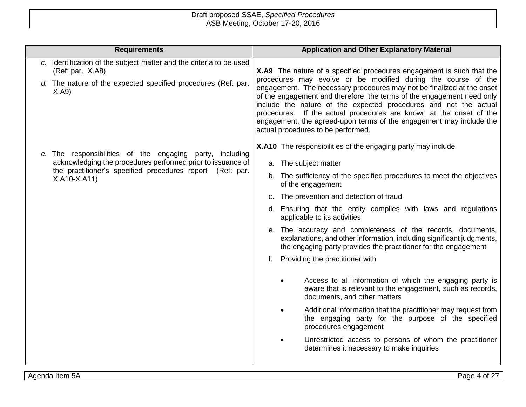| <b>Requirements</b>                                                                                                                                                                                  | <b>Application and Other Explanatory Material</b>                                                                                                                                                                                                                                                                                                                                                                                                                                                                                                 |                                                                                                                                                                                                                                                                                                                                                                                                                                                                                                                                                                                                                                                                                                                                                                                                                                                                                                                                                                                                           |  |
|------------------------------------------------------------------------------------------------------------------------------------------------------------------------------------------------------|---------------------------------------------------------------------------------------------------------------------------------------------------------------------------------------------------------------------------------------------------------------------------------------------------------------------------------------------------------------------------------------------------------------------------------------------------------------------------------------------------------------------------------------------------|-----------------------------------------------------------------------------------------------------------------------------------------------------------------------------------------------------------------------------------------------------------------------------------------------------------------------------------------------------------------------------------------------------------------------------------------------------------------------------------------------------------------------------------------------------------------------------------------------------------------------------------------------------------------------------------------------------------------------------------------------------------------------------------------------------------------------------------------------------------------------------------------------------------------------------------------------------------------------------------------------------------|--|
| c. Identification of the subject matter and the criteria to be used<br>(Ref: par. X.A8)<br>d. The nature of the expected specified procedures (Ref: par.<br>X.A9                                     | X.A9 The nature of a specified procedures engagement is such that the<br>procedures may evolve or be modified during the course of the<br>engagement. The necessary procedures may not be finalized at the onset<br>of the engagement and therefore, the terms of the engagement need only<br>include the nature of the expected procedures and not the actual<br>procedures. If the actual procedures are known at the onset of the<br>engagement, the agreed-upon terms of the engagement may include the<br>actual procedures to be performed. |                                                                                                                                                                                                                                                                                                                                                                                                                                                                                                                                                                                                                                                                                                                                                                                                                                                                                                                                                                                                           |  |
| e. The responsibilities of the engaging party, including<br>acknowledging the procedures performed prior to issuance of<br>the practitioner's specified procedures report (Ref: par.<br>X.A10-X.A11) | f.                                                                                                                                                                                                                                                                                                                                                                                                                                                                                                                                                | <b>X.A10</b> The responsibilities of the engaging party may include<br>a. The subject matter<br>b. The sufficiency of the specified procedures to meet the objectives<br>of the engagement<br>c. The prevention and detection of fraud<br>d. Ensuring that the entity complies with laws and regulations<br>applicable to its activities<br>e. The accuracy and completeness of the records, documents,<br>explanations, and other information, including significant judgments,<br>the engaging party provides the practitioner for the engagement<br>Providing the practitioner with<br>Access to all information of which the engaging party is<br>aware that is relevant to the engagement, such as records,<br>documents, and other matters<br>Additional information that the practitioner may request from<br>the engaging party for the purpose of the specified<br>procedures engagement<br>Unrestricted access to persons of whom the practitioner<br>determines it necessary to make inquiries |  |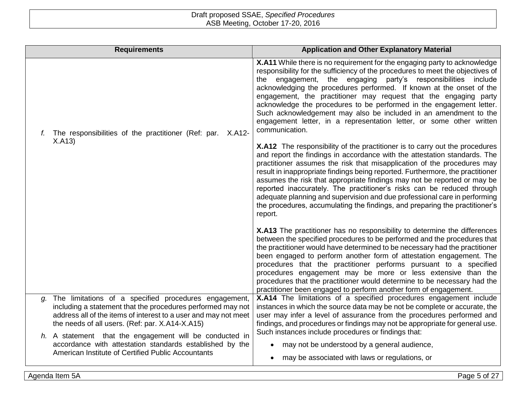|                                                                                                                                                                           | <b>Requirements</b>                                                                                                                                                                                                                        | <b>Application and Other Explanatory Material</b>                                                                                                                                                                                                                                                                                                                                                                                                                                                                                                                                                                                                  |
|---------------------------------------------------------------------------------------------------------------------------------------------------------------------------|--------------------------------------------------------------------------------------------------------------------------------------------------------------------------------------------------------------------------------------------|----------------------------------------------------------------------------------------------------------------------------------------------------------------------------------------------------------------------------------------------------------------------------------------------------------------------------------------------------------------------------------------------------------------------------------------------------------------------------------------------------------------------------------------------------------------------------------------------------------------------------------------------------|
| f.                                                                                                                                                                        | The responsibilities of the practitioner (Ref: par. X.A12-<br>X.A13)                                                                                                                                                                       | X.A11 While there is no requirement for the engaging party to acknowledge<br>responsibility for the sufficiency of the procedures to meet the objectives of<br>engagement, the engaging party's responsibilities include<br>the<br>acknowledging the procedures performed. If known at the onset of the<br>engagement, the practitioner may request that the engaging party<br>acknowledge the procedures to be performed in the engagement letter.<br>Such acknowledgement may also be included in an amendment to the<br>engagement letter, in a representation letter, or some other written<br>communication.                                  |
|                                                                                                                                                                           |                                                                                                                                                                                                                                            | X.A12 The responsibility of the practitioner is to carry out the procedures<br>and report the findings in accordance with the attestation standards. The<br>practitioner assumes the risk that misapplication of the procedures may<br>result in inappropriate findings being reported. Furthermore, the practitioner<br>assumes the risk that appropriate findings may not be reported or may be<br>reported inaccurately. The practitioner's risks can be reduced through<br>adequate planning and supervision and due professional care in performing<br>the procedures, accumulating the findings, and preparing the practitioner's<br>report. |
|                                                                                                                                                                           |                                                                                                                                                                                                                                            | X.A13 The practitioner has no responsibility to determine the differences<br>between the specified procedures to be performed and the procedures that<br>the practitioner would have determined to be necessary had the practitioner<br>been engaged to perform another form of attestation engagement. The<br>procedures that the practitioner performs pursuant to a specified<br>procedures engagement may be more or less extensive than the<br>procedures that the practitioner would determine to be necessary had the<br>practitioner been engaged to perform another form of engagement.                                                   |
| a.                                                                                                                                                                        | The limitations of a specified procedures engagement,<br>including a statement that the procedures performed may not<br>address all of the items of interest to a user and may not meet<br>the needs of all users. (Ref: par. X.A14-X.A15) | X.A14 The limitations of a specified procedures engagement include<br>instances in which the source data may be not be complete or accurate, the<br>user may infer a level of assurance from the procedures performed and<br>findings, and procedures or findings may not be appropriate for general use.                                                                                                                                                                                                                                                                                                                                          |
| h. A statement that the engagement will be conducted in<br>accordance with attestation standards established by the<br>American Institute of Certified Public Accountants | Such instances include procedures or findings that:<br>may not be understood by a general audience,<br>may be associated with laws or regulations, or                                                                                      |                                                                                                                                                                                                                                                                                                                                                                                                                                                                                                                                                                                                                                                    |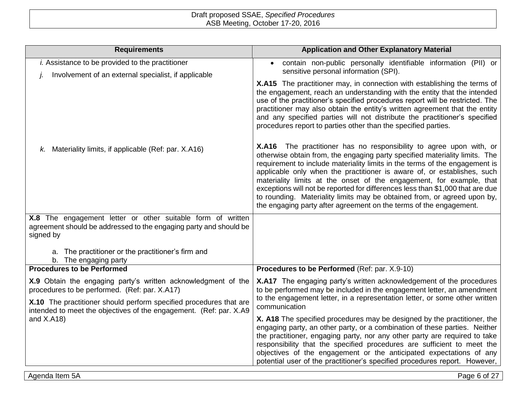| <b>Requirements</b>                                                                                                                           | <b>Application and Other Explanatory Material</b>                                                                                                                                                                                                                                                                                                                                                                                                                                                                                                                                                                        |
|-----------------------------------------------------------------------------------------------------------------------------------------------|--------------------------------------------------------------------------------------------------------------------------------------------------------------------------------------------------------------------------------------------------------------------------------------------------------------------------------------------------------------------------------------------------------------------------------------------------------------------------------------------------------------------------------------------------------------------------------------------------------------------------|
| <i>i.</i> Assistance to be provided to the practitioner                                                                                       | contain non-public personally identifiable information (PII) or<br>$\bullet$<br>sensitive personal information (SPI).                                                                                                                                                                                                                                                                                                                                                                                                                                                                                                    |
| Involvement of an external specialist, if applicable                                                                                          | X.A15 The practitioner may, in connection with establishing the terms of<br>the engagement, reach an understanding with the entity that the intended<br>use of the practitioner's specified procedures report will be restricted. The<br>practitioner may also obtain the entity's written agreement that the entity<br>and any specified parties will not distribute the practitioner's specified<br>procedures report to parties other than the specified parties.                                                                                                                                                     |
| k. Materiality limits, if applicable (Ref: par. X.A16)                                                                                        | X.A16 The practitioner has no responsibility to agree upon with, or<br>otherwise obtain from, the engaging party specified materiality limits. The<br>requirement to include materiality limits in the terms of the engagement is<br>applicable only when the practitioner is aware of, or establishes, such<br>materiality limits at the onset of the engagement, for example, that<br>exceptions will not be reported for differences less than \$1,000 that are due<br>to rounding. Materiality limits may be obtained from, or agreed upon by,<br>the engaging party after agreement on the terms of the engagement. |
| X.8 The engagement letter or other suitable form of written<br>agreement should be addressed to the engaging party and should be<br>signed by |                                                                                                                                                                                                                                                                                                                                                                                                                                                                                                                                                                                                                          |
| a. The practitioner or the practitioner's firm and<br>b. The engaging party                                                                   |                                                                                                                                                                                                                                                                                                                                                                                                                                                                                                                                                                                                                          |
| <b>Procedures to be Performed</b>                                                                                                             | Procedures to be Performed (Ref: par. X.9-10)                                                                                                                                                                                                                                                                                                                                                                                                                                                                                                                                                                            |
| X.9 Obtain the engaging party's written acknowledgment of the<br>procedures to be performed. (Ref: par. X.A17)                                | X.A17 The engaging party's written acknowledgement of the procedures<br>to be performed may be included in the engagement letter, an amendment                                                                                                                                                                                                                                                                                                                                                                                                                                                                           |
| X.10 The practitioner should perform specified procedures that are<br>intended to meet the objectives of the engagement. (Ref: par. X.A9      | to the engagement letter, in a representation letter, or some other written<br>communication                                                                                                                                                                                                                                                                                                                                                                                                                                                                                                                             |
| and $X.A18$ )                                                                                                                                 | X. A18 The specified procedures may be designed by the practitioner, the<br>engaging party, an other party, or a combination of these parties. Neither<br>the practitioner, engaging party, nor any other party are required to take<br>responsibility that the specified procedures are sufficient to meet the<br>objectives of the engagement or the anticipated expectations of any<br>potential user of the practitioner's specified procedures report. However,                                                                                                                                                     |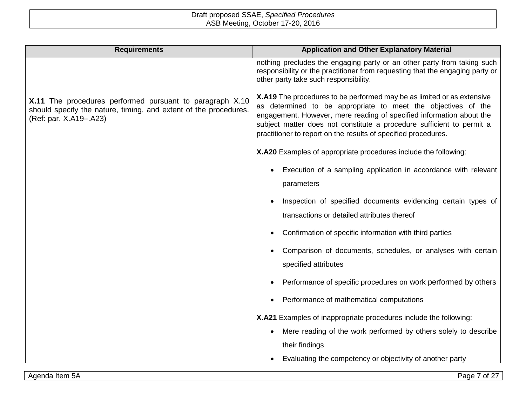| <b>Requirements</b>                                                                                                                                    | <b>Application and Other Explanatory Material</b>                                                                                                                                                                                                                                                                                                          |  |  |  |
|--------------------------------------------------------------------------------------------------------------------------------------------------------|------------------------------------------------------------------------------------------------------------------------------------------------------------------------------------------------------------------------------------------------------------------------------------------------------------------------------------------------------------|--|--|--|
|                                                                                                                                                        | nothing precludes the engaging party or an other party from taking such<br>responsibility or the practitioner from requesting that the engaging party or<br>other party take such responsibility.                                                                                                                                                          |  |  |  |
| X.11 The procedures performed pursuant to paragraph X.10<br>should specify the nature, timing, and extent of the procedures.<br>(Ref: par. X.A19-.A23) | X.A19 The procedures to be performed may be as limited or as extensive<br>as determined to be appropriate to meet the objectives of the<br>engagement. However, mere reading of specified information about the<br>subject matter does not constitute a procedure sufficient to permit a<br>practitioner to report on the results of specified procedures. |  |  |  |
|                                                                                                                                                        | X.A20 Examples of appropriate procedures include the following:                                                                                                                                                                                                                                                                                            |  |  |  |
|                                                                                                                                                        | Execution of a sampling application in accordance with relevant                                                                                                                                                                                                                                                                                            |  |  |  |
|                                                                                                                                                        | parameters                                                                                                                                                                                                                                                                                                                                                 |  |  |  |
|                                                                                                                                                        | Inspection of specified documents evidencing certain types of<br>transactions or detailed attributes thereof                                                                                                                                                                                                                                               |  |  |  |
|                                                                                                                                                        | Confirmation of specific information with third parties                                                                                                                                                                                                                                                                                                    |  |  |  |
|                                                                                                                                                        | Comparison of documents, schedules, or analyses with certain<br>specified attributes                                                                                                                                                                                                                                                                       |  |  |  |
|                                                                                                                                                        | Performance of specific procedures on work performed by others                                                                                                                                                                                                                                                                                             |  |  |  |
|                                                                                                                                                        | Performance of mathematical computations                                                                                                                                                                                                                                                                                                                   |  |  |  |
|                                                                                                                                                        | X.A21 Examples of inappropriate procedures include the following:                                                                                                                                                                                                                                                                                          |  |  |  |
|                                                                                                                                                        | Mere reading of the work performed by others solely to describe                                                                                                                                                                                                                                                                                            |  |  |  |
|                                                                                                                                                        | their findings                                                                                                                                                                                                                                                                                                                                             |  |  |  |
|                                                                                                                                                        | Evaluating the competency or objectivity of another party                                                                                                                                                                                                                                                                                                  |  |  |  |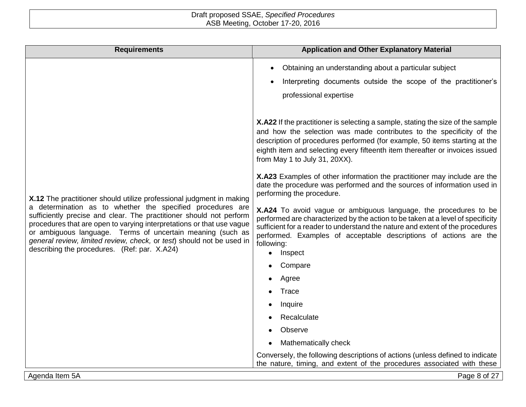| <b>Requirements</b>                                                                                                                                                                                                                                                                                                                                                                                                                                                       | <b>Application and Other Explanatory Material</b>                                                                                                                                                                                                                                                                                                      |  |  |  |
|---------------------------------------------------------------------------------------------------------------------------------------------------------------------------------------------------------------------------------------------------------------------------------------------------------------------------------------------------------------------------------------------------------------------------------------------------------------------------|--------------------------------------------------------------------------------------------------------------------------------------------------------------------------------------------------------------------------------------------------------------------------------------------------------------------------------------------------------|--|--|--|
| X.12 The practitioner should utilize professional judgment in making<br>a determination as to whether the specified procedures are<br>sufficiently precise and clear. The practitioner should not perform<br>procedures that are open to varying interpretations or that use vague<br>or ambiguous language. Terms of uncertain meaning (such as<br>general review, limited review, check, or test) should not be used in<br>describing the procedures. (Ref: par. X.A24) | Obtaining an understanding about a particular subject<br>Interpreting documents outside the scope of the practitioner's<br>professional expertise                                                                                                                                                                                                      |  |  |  |
|                                                                                                                                                                                                                                                                                                                                                                                                                                                                           | X.A22 If the practitioner is selecting a sample, stating the size of the sample<br>and how the selection was made contributes to the specificity of the<br>description of procedures performed (for example, 50 items starting at the<br>eighth item and selecting every fifteenth item thereafter or invoices issued<br>from May 1 to July 31, 20XX). |  |  |  |
|                                                                                                                                                                                                                                                                                                                                                                                                                                                                           | X.A23 Examples of other information the practitioner may include are the<br>date the procedure was performed and the sources of information used in<br>performing the procedure.                                                                                                                                                                       |  |  |  |
|                                                                                                                                                                                                                                                                                                                                                                                                                                                                           | X.A24 To avoid vague or ambiguous language, the procedures to be<br>performed are characterized by the action to be taken at a level of specificity<br>sufficient for a reader to understand the nature and extent of the procedures<br>performed. Examples of acceptable descriptions of actions are the<br>following:<br>Inspect                     |  |  |  |
|                                                                                                                                                                                                                                                                                                                                                                                                                                                                           | Compare                                                                                                                                                                                                                                                                                                                                                |  |  |  |
|                                                                                                                                                                                                                                                                                                                                                                                                                                                                           | Agree                                                                                                                                                                                                                                                                                                                                                  |  |  |  |
|                                                                                                                                                                                                                                                                                                                                                                                                                                                                           | Trace                                                                                                                                                                                                                                                                                                                                                  |  |  |  |
|                                                                                                                                                                                                                                                                                                                                                                                                                                                                           | Inquire                                                                                                                                                                                                                                                                                                                                                |  |  |  |
|                                                                                                                                                                                                                                                                                                                                                                                                                                                                           | Recalculate<br>Observe                                                                                                                                                                                                                                                                                                                                 |  |  |  |
|                                                                                                                                                                                                                                                                                                                                                                                                                                                                           | Mathematically check                                                                                                                                                                                                                                                                                                                                   |  |  |  |
|                                                                                                                                                                                                                                                                                                                                                                                                                                                                           | Conversely, the following descriptions of actions (unless defined to indicate<br>the nature, timing, and extent of the procedures associated with these                                                                                                                                                                                                |  |  |  |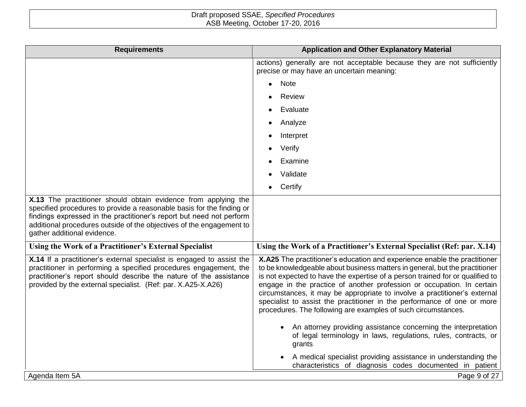| <b>Requirements</b>                                                                                                                                                                                                                                                                                                    | <b>Application and Other Explanatory Material</b>                                                                                                                                                                                                                                                                                                                                                                                                                                                                                            |  |  |
|------------------------------------------------------------------------------------------------------------------------------------------------------------------------------------------------------------------------------------------------------------------------------------------------------------------------|----------------------------------------------------------------------------------------------------------------------------------------------------------------------------------------------------------------------------------------------------------------------------------------------------------------------------------------------------------------------------------------------------------------------------------------------------------------------------------------------------------------------------------------------|--|--|
|                                                                                                                                                                                                                                                                                                                        | actions) generally are not acceptable because they are not sufficiently<br>precise or may have an uncertain meaning:                                                                                                                                                                                                                                                                                                                                                                                                                         |  |  |
|                                                                                                                                                                                                                                                                                                                        | <b>Note</b>                                                                                                                                                                                                                                                                                                                                                                                                                                                                                                                                  |  |  |
|                                                                                                                                                                                                                                                                                                                        | <b>Review</b>                                                                                                                                                                                                                                                                                                                                                                                                                                                                                                                                |  |  |
|                                                                                                                                                                                                                                                                                                                        | Evaluate                                                                                                                                                                                                                                                                                                                                                                                                                                                                                                                                     |  |  |
|                                                                                                                                                                                                                                                                                                                        | Analyze                                                                                                                                                                                                                                                                                                                                                                                                                                                                                                                                      |  |  |
|                                                                                                                                                                                                                                                                                                                        | Interpret                                                                                                                                                                                                                                                                                                                                                                                                                                                                                                                                    |  |  |
|                                                                                                                                                                                                                                                                                                                        | Verify                                                                                                                                                                                                                                                                                                                                                                                                                                                                                                                                       |  |  |
|                                                                                                                                                                                                                                                                                                                        | Examine                                                                                                                                                                                                                                                                                                                                                                                                                                                                                                                                      |  |  |
|                                                                                                                                                                                                                                                                                                                        | Validate                                                                                                                                                                                                                                                                                                                                                                                                                                                                                                                                     |  |  |
|                                                                                                                                                                                                                                                                                                                        | Certify                                                                                                                                                                                                                                                                                                                                                                                                                                                                                                                                      |  |  |
| X.13 The practitioner should obtain evidence from applying the<br>specified procedures to provide a reasonable basis for the finding or<br>findings expressed in the practitioner's report but need not perform<br>additional procedures outside of the objectives of the engagement to<br>gather additional evidence. |                                                                                                                                                                                                                                                                                                                                                                                                                                                                                                                                              |  |  |
| Using the Work of a Practitioner's External Specialist                                                                                                                                                                                                                                                                 | Using the Work of a Practitioner's External Specialist (Ref: par. X.14)                                                                                                                                                                                                                                                                                                                                                                                                                                                                      |  |  |
| X.14 If a practitioner's external specialist is engaged to assist the<br>practitioner in performing a specified procedures engagement, the<br>practitioner's report should describe the nature of the assistance<br>provided by the external specialist. (Ref: par. X.A25-X.A26)                                       | X.A25 The practitioner's education and experience enable the practitioner<br>to be knowledgeable about business matters in general, but the practitioner<br>is not expected to have the expertise of a person trained for or qualified to<br>engage in the practice of another profession or occupation. In certain<br>circumstances, it may be appropriate to involve a practitioner's external<br>specialist to assist the practitioner in the performance of one or more<br>procedures. The following are examples of such circumstances. |  |  |
|                                                                                                                                                                                                                                                                                                                        | An attorney providing assistance concerning the interpretation<br>$\bullet$<br>of legal terminology in laws, regulations, rules, contracts, or<br>grants                                                                                                                                                                                                                                                                                                                                                                                     |  |  |
|                                                                                                                                                                                                                                                                                                                        | A medical specialist providing assistance in understanding the<br>characteristics of diagnosis codes documented in patient                                                                                                                                                                                                                                                                                                                                                                                                                   |  |  |
| Agenda Item 5A                                                                                                                                                                                                                                                                                                         | Page 9 of 27                                                                                                                                                                                                                                                                                                                                                                                                                                                                                                                                 |  |  |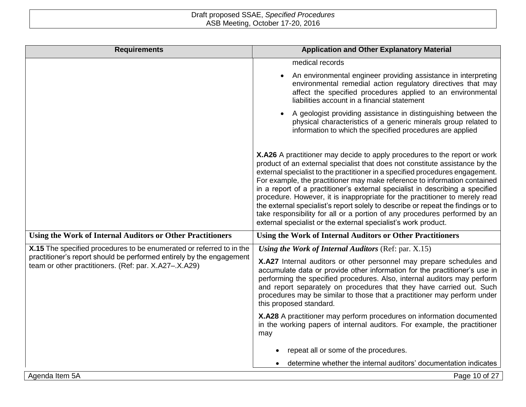| <b>Requirements</b>                                                                                                           | <b>Application and Other Explanatory Material</b>                                                                                                                                                                                                                                                                                                                                                                                                                                                                                                                                                                                                                                                                           |  |  |
|-------------------------------------------------------------------------------------------------------------------------------|-----------------------------------------------------------------------------------------------------------------------------------------------------------------------------------------------------------------------------------------------------------------------------------------------------------------------------------------------------------------------------------------------------------------------------------------------------------------------------------------------------------------------------------------------------------------------------------------------------------------------------------------------------------------------------------------------------------------------------|--|--|
|                                                                                                                               | medical records                                                                                                                                                                                                                                                                                                                                                                                                                                                                                                                                                                                                                                                                                                             |  |  |
|                                                                                                                               | An environmental engineer providing assistance in interpreting<br>$\bullet$<br>environmental remedial action regulatory directives that may<br>affect the specified procedures applied to an environmental<br>liabilities account in a financial statement                                                                                                                                                                                                                                                                                                                                                                                                                                                                  |  |  |
|                                                                                                                               | A geologist providing assistance in distinguishing between the<br>physical characteristics of a generic minerals group related to<br>information to which the specified procedures are applied                                                                                                                                                                                                                                                                                                                                                                                                                                                                                                                              |  |  |
|                                                                                                                               | X.A26 A practitioner may decide to apply procedures to the report or work<br>product of an external specialist that does not constitute assistance by the<br>external specialist to the practitioner in a specified procedures engagement.<br>For example, the practitioner may make reference to information contained<br>in a report of a practitioner's external specialist in describing a specified<br>procedure. However, it is inappropriate for the practitioner to merely read<br>the external specialist's report solely to describe or repeat the findings or to<br>take responsibility for all or a portion of any procedures performed by an<br>external specialist or the external specialist's work product. |  |  |
| <b>Using the Work of Internal Auditors or Other Practitioners</b>                                                             | Using the Work of Internal Auditors or Other Practitioners                                                                                                                                                                                                                                                                                                                                                                                                                                                                                                                                                                                                                                                                  |  |  |
| X.15 The specified procedures to be enumerated or referred to in the                                                          | Using the Work of Internal Auditors (Ref: par. X.15)                                                                                                                                                                                                                                                                                                                                                                                                                                                                                                                                                                                                                                                                        |  |  |
| practitioner's report should be performed entirely by the engagement<br>team or other practitioners. (Ref: par. X.A27-.X.A29) | X.A27 Internal auditors or other personnel may prepare schedules and<br>accumulate data or provide other information for the practitioner's use in<br>performing the specified procedures. Also, internal auditors may perform<br>and report separately on procedures that they have carried out. Such<br>procedures may be similar to those that a practitioner may perform under<br>this proposed standard.                                                                                                                                                                                                                                                                                                               |  |  |
|                                                                                                                               | X.A28 A practitioner may perform procedures on information documented<br>in the working papers of internal auditors. For example, the practitioner<br>may                                                                                                                                                                                                                                                                                                                                                                                                                                                                                                                                                                   |  |  |
|                                                                                                                               | repeat all or some of the procedures.                                                                                                                                                                                                                                                                                                                                                                                                                                                                                                                                                                                                                                                                                       |  |  |
|                                                                                                                               | determine whether the internal auditors' documentation indicates                                                                                                                                                                                                                                                                                                                                                                                                                                                                                                                                                                                                                                                            |  |  |
| Agenda Item 5A                                                                                                                | Page 10 of 27                                                                                                                                                                                                                                                                                                                                                                                                                                                                                                                                                                                                                                                                                                               |  |  |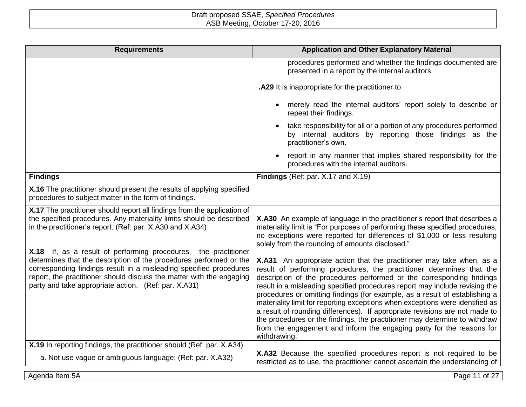| <b>Requirements</b>                                                                                                                                                                                                                                                                                                                         | <b>Application and Other Explanatory Material</b>                                                                                                                                                                                                                                                                                                                                                                                                                                                                                                                                                                                                                                                                            |
|---------------------------------------------------------------------------------------------------------------------------------------------------------------------------------------------------------------------------------------------------------------------------------------------------------------------------------------------|------------------------------------------------------------------------------------------------------------------------------------------------------------------------------------------------------------------------------------------------------------------------------------------------------------------------------------------------------------------------------------------------------------------------------------------------------------------------------------------------------------------------------------------------------------------------------------------------------------------------------------------------------------------------------------------------------------------------------|
|                                                                                                                                                                                                                                                                                                                                             | procedures performed and whether the findings documented are<br>presented in a report by the internal auditors.                                                                                                                                                                                                                                                                                                                                                                                                                                                                                                                                                                                                              |
|                                                                                                                                                                                                                                                                                                                                             | .A29 It is inappropriate for the practitioner to                                                                                                                                                                                                                                                                                                                                                                                                                                                                                                                                                                                                                                                                             |
|                                                                                                                                                                                                                                                                                                                                             | merely read the internal auditors' report solely to describe or<br>repeat their findings.                                                                                                                                                                                                                                                                                                                                                                                                                                                                                                                                                                                                                                    |
|                                                                                                                                                                                                                                                                                                                                             | take responsibility for all or a portion of any procedures performed<br>by internal auditors by reporting those findings as the<br>practitioner's own.                                                                                                                                                                                                                                                                                                                                                                                                                                                                                                                                                                       |
|                                                                                                                                                                                                                                                                                                                                             | report in any manner that implies shared responsibility for the<br>procedures with the internal auditors.                                                                                                                                                                                                                                                                                                                                                                                                                                                                                                                                                                                                                    |
| <b>Findings</b>                                                                                                                                                                                                                                                                                                                             | Findings (Ref: par. X.17 and X.19)                                                                                                                                                                                                                                                                                                                                                                                                                                                                                                                                                                                                                                                                                           |
| X.16 The practitioner should present the results of applying specified<br>procedures to subject matter in the form of findings.                                                                                                                                                                                                             |                                                                                                                                                                                                                                                                                                                                                                                                                                                                                                                                                                                                                                                                                                                              |
| X.17 The practitioner should report all findings from the application of<br>the specified procedures. Any materiality limits should be described<br>in the practitioner's report. (Ref: par. X.A30 and X.A34)                                                                                                                               | X.A30 An example of language in the practitioner's report that describes a<br>materiality limit is "For purposes of performing these specified procedures,<br>no exceptions were reported for differences of \$1,000 or less resulting<br>solely from the rounding of amounts disclosed."                                                                                                                                                                                                                                                                                                                                                                                                                                    |
| X.18 If, as a result of performing procedures, the practitioner<br>determines that the description of the procedures performed or the<br>corresponding findings result in a misleading specified procedures<br>report, the practitioner should discuss the matter with the engaging<br>party and take appropriate action. (Ref: par. X.A31) | X.A31 An appropriate action that the practitioner may take when, as a<br>result of performing procedures, the practitioner determines that the<br>description of the procedures performed or the corresponding findings<br>result in a misleading specified procedures report may include revising the<br>procedures or omitting findings (for example, as a result of establishing a<br>materiality limit for reporting exceptions when exceptions were identified as<br>a result of rounding differences). If appropriate revisions are not made to<br>the procedures or the findings, the practitioner may determine to withdraw<br>from the engagement and inform the engaging party for the reasons for<br>withdrawing. |
| X.19 In reporting findings, the practitioner should (Ref: par. X.A34)<br>a. Not use vague or ambiguous language; (Ref: par. X.A32)                                                                                                                                                                                                          | X.A32 Because the specified procedures report is not required to be<br>restricted as to use, the practitioner cannot ascertain the understanding of                                                                                                                                                                                                                                                                                                                                                                                                                                                                                                                                                                          |
| Agenda Item 5A                                                                                                                                                                                                                                                                                                                              | Page 11 of 27                                                                                                                                                                                                                                                                                                                                                                                                                                                                                                                                                                                                                                                                                                                |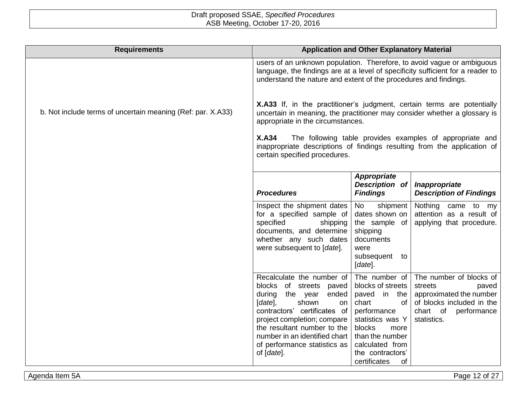| <b>Application and Other Explanatory Material</b>                                                                                                                                                                                                                                                                                                                                  |                                                                                                                                                                                  |                                                                                                                                               |  |
|------------------------------------------------------------------------------------------------------------------------------------------------------------------------------------------------------------------------------------------------------------------------------------------------------------------------------------------------------------------------------------|----------------------------------------------------------------------------------------------------------------------------------------------------------------------------------|-----------------------------------------------------------------------------------------------------------------------------------------------|--|
| users of an unknown population. Therefore, to avoid vague or ambiguous<br>language, the findings are at a level of specificity sufficient for a reader to<br>understand the nature and extent of the procedures and findings.                                                                                                                                                      |                                                                                                                                                                                  |                                                                                                                                               |  |
| X.A33 If, in the practitioner's judgment, certain terms are potentially<br>uncertain in meaning, the practitioner may consider whether a glossary is<br>appropriate in the circumstances.<br><b>X.A34</b><br>The following table provides examples of appropriate and<br>inappropriate descriptions of findings resulting from the application of<br>certain specified procedures. |                                                                                                                                                                                  |                                                                                                                                               |  |
|                                                                                                                                                                                                                                                                                                                                                                                    |                                                                                                                                                                                  |                                                                                                                                               |  |
| <b>Procedures</b>                                                                                                                                                                                                                                                                                                                                                                  | <b>Findings</b>                                                                                                                                                                  | Inappropriate<br><b>Description of Findings</b>                                                                                               |  |
| Inspect the shipment dates<br>for a specified sample of<br>specified<br>shipping<br>documents, and determine<br>whether any such dates<br>were subsequent to [date].                                                                                                                                                                                                               | shipment<br>No<br>dates shown on<br>the sample of<br>shipping<br>documents<br>were<br>subsequent<br>to<br>[date].                                                                | Nothing came to my<br>attention as a result of<br>applying that procedure.                                                                    |  |
| blocks of streets paved<br>during the year<br>ended<br>$[date]$ ,<br>shown<br>on<br>contractors' certificates of<br>project completion; compare<br>the resultant number to the<br>of performance statistics as<br>of [date].                                                                                                                                                       | The number of<br>blocks of streets<br>paved in the<br>chart<br>of<br>performance<br>statistics was Y<br>blocks<br>more<br>than the number<br>calculated from<br>the contractors' | The number of blocks of<br>streets<br>paved<br>approximated the number<br>of blocks included in the<br>chart of<br>performance<br>statistics. |  |
|                                                                                                                                                                                                                                                                                                                                                                                    | number in an identified chart                                                                                                                                                    | Description of<br>Recalculate the number of<br>certificates<br><b>of</b>                                                                      |  |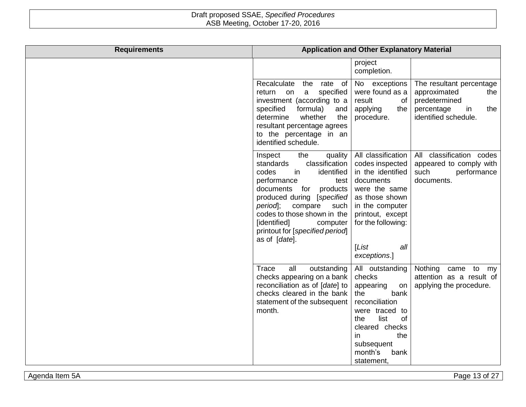| <b>Requirements</b> |                                                                                                                                                                                                                                                                                                                       | <b>Application and Other Explanatory Material</b>                                                                                                                                                       |                                                                                                                     |
|---------------------|-----------------------------------------------------------------------------------------------------------------------------------------------------------------------------------------------------------------------------------------------------------------------------------------------------------------------|---------------------------------------------------------------------------------------------------------------------------------------------------------------------------------------------------------|---------------------------------------------------------------------------------------------------------------------|
|                     |                                                                                                                                                                                                                                                                                                                       | project<br>completion.                                                                                                                                                                                  |                                                                                                                     |
|                     | Recalculate<br>the rate of<br>specified<br>$\mathbf{a}$<br>return<br>on<br>investment (according to a<br>specified<br>formula)<br>and<br>the<br>determine<br>whether<br>resultant percentage agrees<br>to the percentage in an<br>identified schedule.                                                                | No exceptions<br>were found as a<br>result<br>of<br>applying<br>the<br>procedure.                                                                                                                       | The resultant percentage<br>approximated<br>the<br>predetermined<br>the<br>percentage<br>in<br>identified schedule. |
|                     | the<br>Inspect<br>quality<br>classification<br>standards<br>codes<br>in<br>identified<br>performance<br>test<br>documents for<br>products<br>produced during [specified<br>period ;<br>compare<br>such<br>codes to those shown in the<br>[identified]<br>computer<br>printout for [specified period]<br>as of [date]. | All classification<br>codes inspected<br>in the identified<br>documents<br>were the same<br>as those shown<br>in the computer<br>printout, except<br>for the following:<br>LList<br>all<br>exceptions.] | All classification codes<br>appeared to comply with<br>such<br>performance<br>documents.                            |
|                     | all<br>Trace<br>outstanding<br>checks appearing on a bank<br>reconciliation as of [date] to<br>checks cleared in the bank<br>statement of the subsequent<br>month.                                                                                                                                                    | All outstanding<br>checks<br>appearing<br>on<br>bank<br>the<br>reconciliation<br>were traced to<br>list<br>of<br>the<br>cleared checks<br>the<br>in<br>subsequent<br>month's<br>bank<br>statement,      | Nothing<br>came<br>to<br>mv<br>attention as a result of<br>applying the procedure.                                  |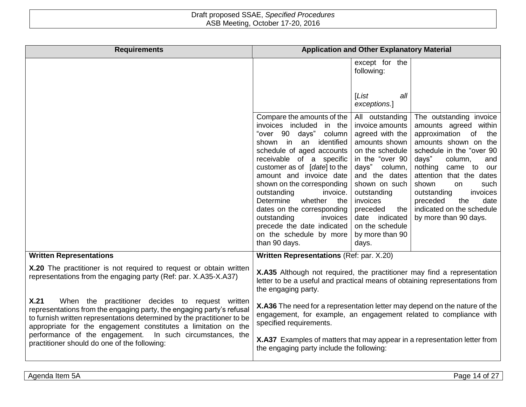| <b>Requirements</b>                                                                                                                                                                                                                                                                                                                                                                         |                                                                                                                                                                                                                                                                                                                                                                                                                                                          | <b>Application and Other Explanatory Material</b>                                                                                                                                                                                                                              |                                                                                                                                                                                                                                                                                                                                                        |
|---------------------------------------------------------------------------------------------------------------------------------------------------------------------------------------------------------------------------------------------------------------------------------------------------------------------------------------------------------------------------------------------|----------------------------------------------------------------------------------------------------------------------------------------------------------------------------------------------------------------------------------------------------------------------------------------------------------------------------------------------------------------------------------------------------------------------------------------------------------|--------------------------------------------------------------------------------------------------------------------------------------------------------------------------------------------------------------------------------------------------------------------------------|--------------------------------------------------------------------------------------------------------------------------------------------------------------------------------------------------------------------------------------------------------------------------------------------------------------------------------------------------------|
|                                                                                                                                                                                                                                                                                                                                                                                             |                                                                                                                                                                                                                                                                                                                                                                                                                                                          | except for the<br>following:                                                                                                                                                                                                                                                   |                                                                                                                                                                                                                                                                                                                                                        |
|                                                                                                                                                                                                                                                                                                                                                                                             |                                                                                                                                                                                                                                                                                                                                                                                                                                                          | [List<br>all<br>exceptions.]                                                                                                                                                                                                                                                   |                                                                                                                                                                                                                                                                                                                                                        |
|                                                                                                                                                                                                                                                                                                                                                                                             | Compare the amounts of the<br>invoices included in the<br>"over 90 days" column<br>shown in an identified<br>schedule of aged accounts<br>receivable of a specific<br>customer as of [date] to the<br>amount and invoice date<br>shown on the corresponding<br>outstanding<br>invoice.<br>Determine<br>whether<br>the<br>dates on the corresponding<br>outstanding<br>invoices<br>precede the date indicated<br>on the schedule by more<br>than 90 days. | All outstanding<br>invoice amounts<br>agreed with the<br>amounts shown<br>on the schedule<br>in the "over 90<br>days" column,<br>and the dates<br>shown on such<br>outstanding<br>invoices<br>preceded<br>the<br>date indicated<br>on the schedule<br>by more than 90<br>days. | The outstanding invoice<br>amounts agreed within<br>approximation of<br>the<br>amounts shown on the<br>schedule in the "over 90<br>days"<br>column,<br>and<br>nothing<br>came to<br>our<br>attention that the dates<br>shown<br>such<br>on<br>invoices<br>outstanding<br>date<br>preceded<br>the<br>indicated on the schedule<br>by more than 90 days. |
| <b>Written Representations</b>                                                                                                                                                                                                                                                                                                                                                              | Written Representations (Ref: par. X.20)                                                                                                                                                                                                                                                                                                                                                                                                                 |                                                                                                                                                                                                                                                                                |                                                                                                                                                                                                                                                                                                                                                        |
| X.20 The practitioner is not required to request or obtain written<br>representations from the engaging party (Ref: par. X.A35-X.A37)                                                                                                                                                                                                                                                       | X.A35 Although not required, the practitioner may find a representation<br>letter to be a useful and practical means of obtaining representations from<br>the engaging party.                                                                                                                                                                                                                                                                            |                                                                                                                                                                                                                                                                                |                                                                                                                                                                                                                                                                                                                                                        |
| X.21<br>When the practitioner decides to request written<br>representations from the engaging party, the engaging party's refusal<br>to furnish written representations determined by the practitioner to be<br>appropriate for the engagement constitutes a limitation on the<br>performance of the engagement. In such circumstances, the<br>practitioner should do one of the following: | X.A36 The need for a representation letter may depend on the nature of the<br>engagement, for example, an engagement related to compliance with<br>specified requirements.                                                                                                                                                                                                                                                                               |                                                                                                                                                                                                                                                                                |                                                                                                                                                                                                                                                                                                                                                        |
|                                                                                                                                                                                                                                                                                                                                                                                             | X.A37 Examples of matters that may appear in a representation letter from<br>the engaging party include the following:                                                                                                                                                                                                                                                                                                                                   |                                                                                                                                                                                                                                                                                |                                                                                                                                                                                                                                                                                                                                                        |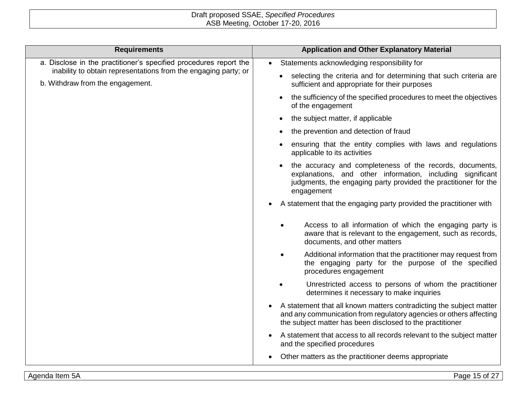| <b>Requirements</b>                                                                                                                                                      | <b>Application and Other Explanatory Material</b>                                                                                                                                                       |
|--------------------------------------------------------------------------------------------------------------------------------------------------------------------------|---------------------------------------------------------------------------------------------------------------------------------------------------------------------------------------------------------|
| a. Disclose in the practitioner's specified procedures report the<br>inability to obtain representations from the engaging party; or<br>b. Withdraw from the engagement. | Statements acknowledging responsibility for<br>$\bullet$                                                                                                                                                |
|                                                                                                                                                                          | selecting the criteria and for determining that such criteria are<br>sufficient and appropriate for their purposes                                                                                      |
|                                                                                                                                                                          | the sufficiency of the specified procedures to meet the objectives<br>of the engagement                                                                                                                 |
|                                                                                                                                                                          | the subject matter, if applicable                                                                                                                                                                       |
|                                                                                                                                                                          | the prevention and detection of fraud                                                                                                                                                                   |
|                                                                                                                                                                          | ensuring that the entity complies with laws and regulations<br>applicable to its activities                                                                                                             |
|                                                                                                                                                                          | the accuracy and completeness of the records, documents,<br>explanations, and other information, including significant<br>judgments, the engaging party provided the practitioner for the<br>engagement |
|                                                                                                                                                                          | A statement that the engaging party provided the practitioner with                                                                                                                                      |
|                                                                                                                                                                          | Access to all information of which the engaging party is<br>aware that is relevant to the engagement, such as records,<br>documents, and other matters                                                  |
|                                                                                                                                                                          | Additional information that the practitioner may request from<br>the engaging party for the purpose of the specified<br>procedures engagement                                                           |
|                                                                                                                                                                          | Unrestricted access to persons of whom the practitioner<br>determines it necessary to make inquiries                                                                                                    |
|                                                                                                                                                                          | A statement that all known matters contradicting the subject matter<br>and any communication from regulatory agencies or others affecting<br>the subject matter has been disclosed to the practitioner  |
|                                                                                                                                                                          | A statement that access to all records relevant to the subject matter<br>and the specified procedures                                                                                                   |
|                                                                                                                                                                          | Other matters as the practitioner deems appropriate                                                                                                                                                     |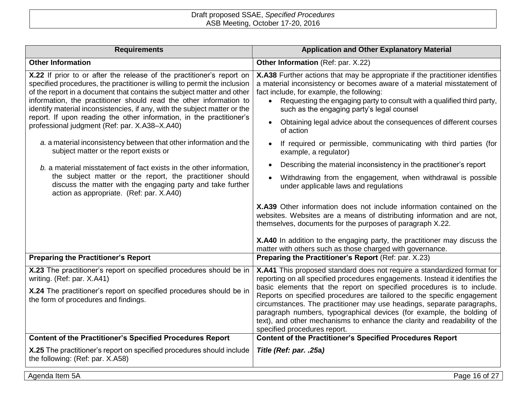| <b>Requirements</b>                                                                                                                                                                                                                                                                                                                                                                                                                                                                                      | <b>Application and Other Explanatory Material</b>                                                                                                                                                                                                                                                                                                                                                                                                                                                                                                                           |  |
|----------------------------------------------------------------------------------------------------------------------------------------------------------------------------------------------------------------------------------------------------------------------------------------------------------------------------------------------------------------------------------------------------------------------------------------------------------------------------------------------------------|-----------------------------------------------------------------------------------------------------------------------------------------------------------------------------------------------------------------------------------------------------------------------------------------------------------------------------------------------------------------------------------------------------------------------------------------------------------------------------------------------------------------------------------------------------------------------------|--|
| <b>Other Information</b>                                                                                                                                                                                                                                                                                                                                                                                                                                                                                 | Other Information (Ref: par. X.22)                                                                                                                                                                                                                                                                                                                                                                                                                                                                                                                                          |  |
| X.22 If prior to or after the release of the practitioner's report on<br>specified procedures, the practitioner is willing to permit the inclusion<br>of the report in a document that contains the subject matter and other<br>information, the practitioner should read the other information to<br>identify material inconsistencies, if any, with the subject matter or the<br>report. If upon reading the other information, in the practitioner's<br>professional judgment (Ref: par. X.A38-X.A40) | X.A38 Further actions that may be appropriate if the practitioner identifies<br>a material inconsistency or becomes aware of a material misstatement of<br>fact include, for example, the following:<br>Requesting the engaging party to consult with a qualified third party,<br>$\bullet$<br>such as the engaging party's legal counsel<br>Obtaining legal advice about the consequences of different courses<br>of action                                                                                                                                                |  |
| a. a material inconsistency between that other information and the<br>subject matter or the report exists or                                                                                                                                                                                                                                                                                                                                                                                             | If required or permissible, communicating with third parties (for<br>example, a regulator)                                                                                                                                                                                                                                                                                                                                                                                                                                                                                  |  |
| b. a material misstatement of fact exists in the other information,                                                                                                                                                                                                                                                                                                                                                                                                                                      | Describing the material inconsistency in the practitioner's report<br>$\bullet$                                                                                                                                                                                                                                                                                                                                                                                                                                                                                             |  |
| the subject matter or the report, the practitioner should<br>discuss the matter with the engaging party and take further<br>action as appropriate. (Ref: par. X.A40)                                                                                                                                                                                                                                                                                                                                     | Withdrawing from the engagement, when withdrawal is possible<br>under applicable laws and regulations                                                                                                                                                                                                                                                                                                                                                                                                                                                                       |  |
|                                                                                                                                                                                                                                                                                                                                                                                                                                                                                                          | X.A39 Other information does not include information contained on the<br>websites. Websites are a means of distributing information and are not,<br>themselves, documents for the purposes of paragraph X.22.<br>X.A40 In addition to the engaging party, the practitioner may discuss the                                                                                                                                                                                                                                                                                  |  |
| <b>Preparing the Practitioner's Report</b>                                                                                                                                                                                                                                                                                                                                                                                                                                                               | matter with others such as those charged with governance.<br>Preparing the Practitioner's Report (Ref: par. X.23)                                                                                                                                                                                                                                                                                                                                                                                                                                                           |  |
| X.23 The practitioner's report on specified procedures should be in<br>writing. (Ref: par. X.A41)<br>X.24 The practitioner's report on specified procedures should be in<br>the form of procedures and findings.                                                                                                                                                                                                                                                                                         | X.A41 This proposed standard does not require a standardized format for<br>reporting on all specified procedures engagements. Instead it identifies the<br>basic elements that the report on specified procedures is to include.<br>Reports on specified procedures are tailored to the specific engagement<br>circumstances. The practitioner may use headings, separate paragraphs,<br>paragraph numbers, typographical devices (for example, the bolding of<br>text), and other mechanisms to enhance the clarity and readability of the<br>specified procedures report. |  |
| <b>Content of the Practitioner's Specified Procedures Report</b>                                                                                                                                                                                                                                                                                                                                                                                                                                         | <b>Content of the Practitioner's Specified Procedures Report</b>                                                                                                                                                                                                                                                                                                                                                                                                                                                                                                            |  |
| X.25 The practitioner's report on specified procedures should include<br>the following: (Ref: par. X.A58)                                                                                                                                                                                                                                                                                                                                                                                                | Title (Ref: par. .25a)                                                                                                                                                                                                                                                                                                                                                                                                                                                                                                                                                      |  |
| Agenda Item 5A                                                                                                                                                                                                                                                                                                                                                                                                                                                                                           | Page 16 of 27                                                                                                                                                                                                                                                                                                                                                                                                                                                                                                                                                               |  |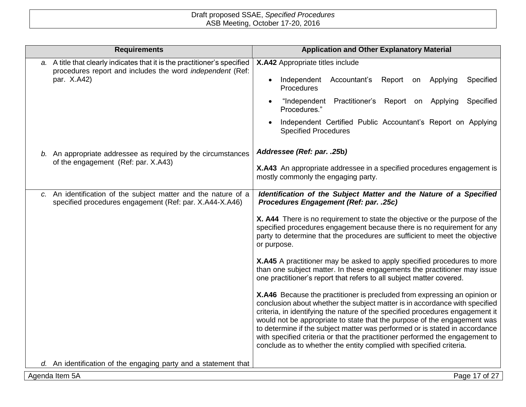| <b>Requirements</b>                                                                                                                                   | <b>Application and Other Explanatory Material</b>                                                                                                                                                                                                                                                                                                                                                                                                                                                                                                           |
|-------------------------------------------------------------------------------------------------------------------------------------------------------|-------------------------------------------------------------------------------------------------------------------------------------------------------------------------------------------------------------------------------------------------------------------------------------------------------------------------------------------------------------------------------------------------------------------------------------------------------------------------------------------------------------------------------------------------------------|
| a. A title that clearly indicates that it is the practitioner's specified<br>procedures report and includes the word independent (Ref:<br>par. X.A42) | X.A42 Appropriate titles include                                                                                                                                                                                                                                                                                                                                                                                                                                                                                                                            |
|                                                                                                                                                       | Accountant's<br>Specified<br>Independent<br>Report<br>Applying<br>on<br>$\bullet$<br>Procedures                                                                                                                                                                                                                                                                                                                                                                                                                                                             |
|                                                                                                                                                       | "Independent Practitioner's Report on Applying<br>Specified<br>Procedures."                                                                                                                                                                                                                                                                                                                                                                                                                                                                                 |
|                                                                                                                                                       | Independent Certified Public Accountant's Report on Applying<br><b>Specified Procedures</b>                                                                                                                                                                                                                                                                                                                                                                                                                                                                 |
| b. An appropriate addressee as required by the circumstances                                                                                          | Addressee (Ref: par. .25b)                                                                                                                                                                                                                                                                                                                                                                                                                                                                                                                                  |
| of the engagement (Ref: par. X.A43)                                                                                                                   | X.A43 An appropriate addressee in a specified procedures engagement is<br>mostly commonly the engaging party.                                                                                                                                                                                                                                                                                                                                                                                                                                               |
| c. An identification of the subject matter and the nature of a<br>specified procedures engagement (Ref: par. X.A44-X.A46)                             | Identification of the Subject Matter and the Nature of a Specified<br>Procedures Engagement (Ref: par. .25c)                                                                                                                                                                                                                                                                                                                                                                                                                                                |
|                                                                                                                                                       | X. A44 There is no requirement to state the objective or the purpose of the<br>specified procedures engagement because there is no requirement for any<br>party to determine that the procedures are sufficient to meet the objective<br>or purpose.                                                                                                                                                                                                                                                                                                        |
|                                                                                                                                                       | X.A45 A practitioner may be asked to apply specified procedures to more<br>than one subject matter. In these engagements the practitioner may issue<br>one practitioner's report that refers to all subject matter covered.                                                                                                                                                                                                                                                                                                                                 |
|                                                                                                                                                       | X.A46 Because the practitioner is precluded from expressing an opinion or<br>conclusion about whether the subject matter is in accordance with specified<br>criteria, in identifying the nature of the specified procedures engagement it<br>would not be appropriate to state that the purpose of the engagement was<br>to determine if the subject matter was performed or is stated in accordance<br>with specified criteria or that the practitioner performed the engagement to<br>conclude as to whether the entity complied with specified criteria. |
| d. An identification of the engaging party and a statement that                                                                                       |                                                                                                                                                                                                                                                                                                                                                                                                                                                                                                                                                             |
| Agenda Item 5A                                                                                                                                        | Page 17 of 27                                                                                                                                                                                                                                                                                                                                                                                                                                                                                                                                               |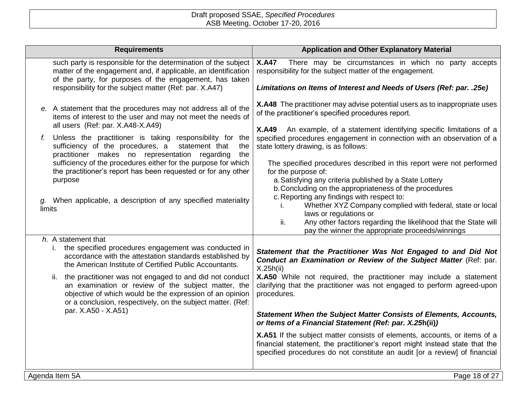| <b>Requirements</b>                                                                                                                                                                                                                                                                                                                                                                                                                                                                                                                                                              | <b>Application and Other Explanatory Material</b>                                                                                                                                                                                                                                                                                                                                                                                                                                                                                                                                                                                                                                                                                                                                                                                   |
|----------------------------------------------------------------------------------------------------------------------------------------------------------------------------------------------------------------------------------------------------------------------------------------------------------------------------------------------------------------------------------------------------------------------------------------------------------------------------------------------------------------------------------------------------------------------------------|-------------------------------------------------------------------------------------------------------------------------------------------------------------------------------------------------------------------------------------------------------------------------------------------------------------------------------------------------------------------------------------------------------------------------------------------------------------------------------------------------------------------------------------------------------------------------------------------------------------------------------------------------------------------------------------------------------------------------------------------------------------------------------------------------------------------------------------|
| such party is responsible for the determination of the subject<br>matter of the engagement and, if applicable, an identification<br>of the party, for purposes of the engagement, has taken<br>responsibility for the subject matter (Ref: par. X.A47)                                                                                                                                                                                                                                                                                                                           | There may be circumstances in which no party accepts<br><b>X.A47</b><br>responsibility for the subject matter of the engagement.<br>Limitations on Items of Interest and Needs of Users (Ref: par. . 25e)                                                                                                                                                                                                                                                                                                                                                                                                                                                                                                                                                                                                                           |
| e. A statement that the procedures may not address all of the<br>items of interest to the user and may not meet the needs of<br>all users (Ref: par. X.A48-X.A49)<br>f. Unless the practitioner is taking responsibility for the<br>sufficiency of the procedures, a<br>statement that<br>the<br>practitioner makes no representation regarding<br>the<br>sufficiency of the procedures either for the purpose for which<br>the practitioner's report has been requested or for any other<br>purpose<br>g. When applicable, a description of any specified materiality<br>limits | X.A48 The practitioner may advise potential users as to inappropriate uses<br>of the practitioner's specified procedures report.<br><b>X.A49</b><br>An example, of a statement identifying specific limitations of a<br>specified procedures engagement in connection with an observation of a<br>state lottery drawing, is as follows:<br>The specified procedures described in this report were not performed<br>for the purpose of:<br>a. Satisfying any criteria published by a State Lottery<br>b. Concluding on the appropriateness of the procedures<br>c. Reporting any findings with respect to:<br>Whether XYZ Company complied with federal, state or local<br>I.<br>laws or regulations or<br>Any other factors regarding the likelihood that the State will<br>ii.<br>pay the winner the appropriate proceeds/winnings |
| h. A statement that<br>the specified procedures engagement was conducted in<br>i.<br>accordance with the attestation standards established by<br>the American Institute of Certified Public Accountants.<br>the practitioner was not engaged to and did not conduct<br>ii.<br>an examination or review of the subject matter, the<br>objective of which would be the expression of an opinion<br>or a conclusion, respectively, on the subject matter. (Ref:<br>par. X.A50 - X.A51)                                                                                              | Statement that the Practitioner Was Not Engaged to and Did Not<br>Conduct an Examination or Review of the Subject Matter (Ref: par.<br>X.25h(ii)<br>X.A50 While not required, the practitioner may include a statement<br>clarifying that the practitioner was not engaged to perform agreed-upon<br>procedures.<br><b>Statement When the Subject Matter Consists of Elements, Accounts,</b><br>or Items of a Financial Statement (Ref: par. X.25h(ii))<br>X.A51 If the subject matter consists of elements, accounts, or items of a<br>financial statement, the practitioner's report might instead state that the<br>specified procedures do not constitute an audit [or a review] of financial                                                                                                                                   |
| Agenda Item 5A                                                                                                                                                                                                                                                                                                                                                                                                                                                                                                                                                                   | Page 18 of 27                                                                                                                                                                                                                                                                                                                                                                                                                                                                                                                                                                                                                                                                                                                                                                                                                       |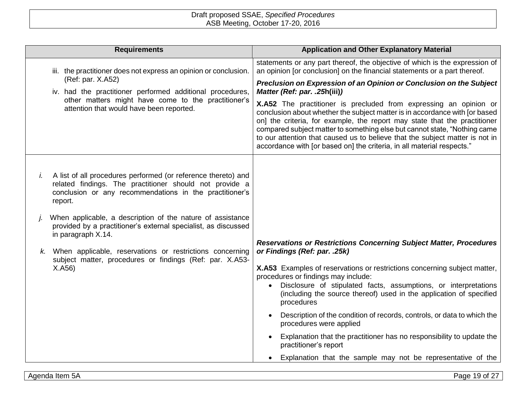| <b>Requirements</b>                                                                                                                                                                                  | <b>Application and Other Explanatory Material</b>                                                                                                                                                                                                                                                                                                                                                                                                                    |
|------------------------------------------------------------------------------------------------------------------------------------------------------------------------------------------------------|----------------------------------------------------------------------------------------------------------------------------------------------------------------------------------------------------------------------------------------------------------------------------------------------------------------------------------------------------------------------------------------------------------------------------------------------------------------------|
| iii. the practitioner does not express an opinion or conclusion.<br>(Ref: par. X.A52)<br>iv. had the practitioner performed additional procedures,                                                   | statements or any part thereof, the objective of which is the expression of<br>an opinion [or conclusion] on the financial statements or a part thereof.                                                                                                                                                                                                                                                                                                             |
|                                                                                                                                                                                                      | Preclusion on Expression of an Opinion or Conclusion on the Subject<br>Matter (Ref: par. .25h(iii))                                                                                                                                                                                                                                                                                                                                                                  |
| other matters might have come to the practitioner's<br>attention that would have been reported.                                                                                                      | X.A52 The practitioner is precluded from expressing an opinion or<br>conclusion about whether the subject matter is in accordance with [or based<br>on] the criteria, for example, the report may state that the practitioner<br>compared subject matter to something else but cannot state, "Nothing came<br>to our attention that caused us to believe that the subject matter is not in<br>accordance with [or based on] the criteria, in all material respects." |
| A list of all procedures performed (or reference thereto) and<br>İ.<br>related findings. The practitioner should not provide a<br>conclusion or any recommendations in the practitioner's<br>report. |                                                                                                                                                                                                                                                                                                                                                                                                                                                                      |
| When applicable, a description of the nature of assistance<br>provided by a practitioner's external specialist, as discussed<br>in paragraph X.14.                                                   |                                                                                                                                                                                                                                                                                                                                                                                                                                                                      |
| When applicable, reservations or restrictions concerning<br>subject matter, procedures or findings (Ref: par. X.A53-<br>X.A56                                                                        | <b>Reservations or Restrictions Concerning Subject Matter, Procedures</b><br>or Findings (Ref: par. .25k)                                                                                                                                                                                                                                                                                                                                                            |
|                                                                                                                                                                                                      | X.A53 Examples of reservations or restrictions concerning subject matter,<br>procedures or findings may include:                                                                                                                                                                                                                                                                                                                                                     |
|                                                                                                                                                                                                      | Disclosure of stipulated facts, assumptions, or interpretations<br>$\bullet$<br>(including the source thereof) used in the application of specified<br>procedures                                                                                                                                                                                                                                                                                                    |
|                                                                                                                                                                                                      | Description of the condition of records, controls, or data to which the<br>procedures were applied                                                                                                                                                                                                                                                                                                                                                                   |
|                                                                                                                                                                                                      | Explanation that the practitioner has no responsibility to update the<br>practitioner's report                                                                                                                                                                                                                                                                                                                                                                       |
|                                                                                                                                                                                                      | Explanation that the sample may not be representative of the                                                                                                                                                                                                                                                                                                                                                                                                         |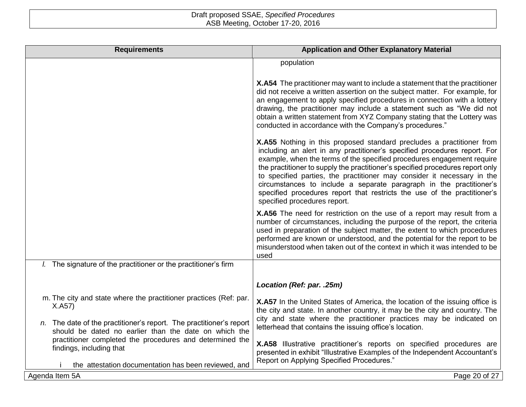| <b>Requirements</b>                                                                                                          | <b>Application and Other Explanatory Material</b>                                                                                                                                                                                                                                                                                                                                                                                                                                                                                                                            |
|------------------------------------------------------------------------------------------------------------------------------|------------------------------------------------------------------------------------------------------------------------------------------------------------------------------------------------------------------------------------------------------------------------------------------------------------------------------------------------------------------------------------------------------------------------------------------------------------------------------------------------------------------------------------------------------------------------------|
|                                                                                                                              | population                                                                                                                                                                                                                                                                                                                                                                                                                                                                                                                                                                   |
|                                                                                                                              | X.A54 The practitioner may want to include a statement that the practitioner<br>did not receive a written assertion on the subject matter. For example, for<br>an engagement to apply specified procedures in connection with a lottery<br>drawing, the practitioner may include a statement such as "We did not<br>obtain a written statement from XYZ Company stating that the Lottery was<br>conducted in accordance with the Company's procedures."                                                                                                                      |
|                                                                                                                              | X.A55 Nothing in this proposed standard precludes a practitioner from<br>including an alert in any practitioner's specified procedures report. For<br>example, when the terms of the specified procedures engagement require<br>the practitioner to supply the practitioner's specified procedures report only<br>to specified parties, the practitioner may consider it necessary in the<br>circumstances to include a separate paragraph in the practitioner's<br>specified procedures report that restricts the use of the practitioner's<br>specified procedures report. |
|                                                                                                                              | X.A56 The need for restriction on the use of a report may result from a<br>number of circumstances, including the purpose of the report, the criteria<br>used in preparation of the subject matter, the extent to which procedures<br>performed are known or understood, and the potential for the report to be<br>misunderstood when taken out of the context in which it was intended to be<br>used                                                                                                                                                                        |
| <i>l.</i> The signature of the practitioner or the practitioner's firm                                                       |                                                                                                                                                                                                                                                                                                                                                                                                                                                                                                                                                                              |
|                                                                                                                              | Location (Ref: par. .25m)                                                                                                                                                                                                                                                                                                                                                                                                                                                                                                                                                    |
| m. The city and state where the practitioner practices (Ref: par.<br>X.A57)                                                  | X.A57 In the United States of America, the location of the issuing office is<br>the city and state. In another country, it may be the city and country. The                                                                                                                                                                                                                                                                                                                                                                                                                  |
| n. The date of the practitioner's report. The practitioner's report<br>should be dated no earlier than the date on which the | letterhead that contains the issuing office's location.                                                                                                                                                                                                                                                                                                                                                                                                                                                                                                                      |
| practitioner completed the procedures and determined the<br>findings, including that                                         | X.A58 Illustrative practitioner's reports on specified procedures are<br>presented in exhibit "Illustrative Examples of the Independent Accountant's                                                                                                                                                                                                                                                                                                                                                                                                                         |
| the attestation documentation has been reviewed, and                                                                         |                                                                                                                                                                                                                                                                                                                                                                                                                                                                                                                                                                              |
| Agenda Item 5A                                                                                                               | city and state where the practitioner practices may be indicated on<br>Report on Applying Specified Procedures."<br>Page 20 of 27                                                                                                                                                                                                                                                                                                                                                                                                                                            |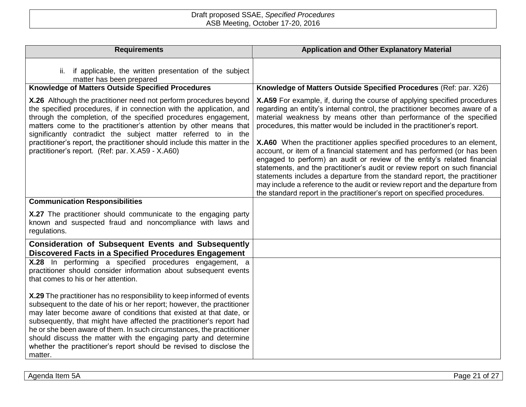| <b>Requirements</b>                                                                                                                                                                                                                                                                                                                                                                                                                                                                                                          | <b>Application and Other Explanatory Material</b>                                                                                                                                                                                                                                                                                                                                                                                                                                                                                                                                                                                                                                                                                                                                         |
|------------------------------------------------------------------------------------------------------------------------------------------------------------------------------------------------------------------------------------------------------------------------------------------------------------------------------------------------------------------------------------------------------------------------------------------------------------------------------------------------------------------------------|-------------------------------------------------------------------------------------------------------------------------------------------------------------------------------------------------------------------------------------------------------------------------------------------------------------------------------------------------------------------------------------------------------------------------------------------------------------------------------------------------------------------------------------------------------------------------------------------------------------------------------------------------------------------------------------------------------------------------------------------------------------------------------------------|
| if applicable, the written presentation of the subject<br>ii.<br>matter has been prepared                                                                                                                                                                                                                                                                                                                                                                                                                                    |                                                                                                                                                                                                                                                                                                                                                                                                                                                                                                                                                                                                                                                                                                                                                                                           |
| Knowledge of Matters Outside Specified Procedures                                                                                                                                                                                                                                                                                                                                                                                                                                                                            | Knowledge of Matters Outside Specified Procedures (Ref: par. X26)                                                                                                                                                                                                                                                                                                                                                                                                                                                                                                                                                                                                                                                                                                                         |
| X.26 Although the practitioner need not perform procedures beyond<br>the specified procedures, if in connection with the application, and<br>through the completion, of the specified procedures engagement,<br>matters come to the practitioner's attention by other means that<br>significantly contradict the subject matter referred to in the<br>practitioner's report, the practitioner should include this matter in the<br>practitioner's report. (Ref: par. X.A59 - X.A60)                                          | X.A59 For example, if, during the course of applying specified procedures<br>regarding an entity's internal control, the practitioner becomes aware of a<br>material weakness by means other than performance of the specified<br>procedures, this matter would be included in the practitioner's report.<br>X.A60 When the practitioner applies specified procedures to an element,<br>account, or item of a financial statement and has performed (or has been<br>engaged to perform) an audit or review of the entity's related financial<br>statements, and the practitioner's audit or review report on such financial<br>statements includes a departure from the standard report, the practitioner<br>may include a reference to the audit or review report and the departure from |
| <b>Communication Responsibilities</b>                                                                                                                                                                                                                                                                                                                                                                                                                                                                                        | the standard report in the practitioner's report on specified procedures.                                                                                                                                                                                                                                                                                                                                                                                                                                                                                                                                                                                                                                                                                                                 |
| X.27 The practitioner should communicate to the engaging party<br>known and suspected fraud and noncompliance with laws and<br>regulations.                                                                                                                                                                                                                                                                                                                                                                                  |                                                                                                                                                                                                                                                                                                                                                                                                                                                                                                                                                                                                                                                                                                                                                                                           |
| <b>Consideration of Subsequent Events and Subsequently</b><br>Discovered Facts in a Specified Procedures Engagement                                                                                                                                                                                                                                                                                                                                                                                                          |                                                                                                                                                                                                                                                                                                                                                                                                                                                                                                                                                                                                                                                                                                                                                                                           |
| X.28 In performing a specified procedures engagement, a<br>practitioner should consider information about subsequent events<br>that comes to his or her attention.                                                                                                                                                                                                                                                                                                                                                           |                                                                                                                                                                                                                                                                                                                                                                                                                                                                                                                                                                                                                                                                                                                                                                                           |
| X.29 The practitioner has no responsibility to keep informed of events<br>subsequent to the date of his or her report; however, the practitioner<br>may later become aware of conditions that existed at that date, or<br>subsequently, that might have affected the practitioner's report had<br>he or she been aware of them. In such circumstances, the practitioner<br>should discuss the matter with the engaging party and determine<br>whether the practitioner's report should be revised to disclose the<br>matter. |                                                                                                                                                                                                                                                                                                                                                                                                                                                                                                                                                                                                                                                                                                                                                                                           |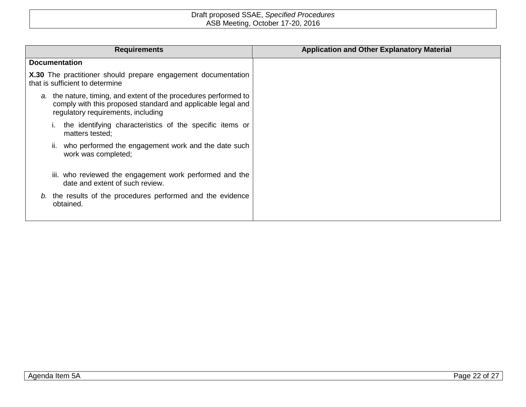| <b>Requirements</b>                                                                                                                                                   | <b>Application and Other Explanatory Material</b> |
|-----------------------------------------------------------------------------------------------------------------------------------------------------------------------|---------------------------------------------------|
| <b>Documentation</b>                                                                                                                                                  |                                                   |
| X.30 The practitioner should prepare engagement documentation<br>that is sufficient to determine                                                                      |                                                   |
| a. the nature, timing, and extent of the procedures performed to<br>comply with this proposed standard and applicable legal and<br>regulatory requirements, including |                                                   |
| the identifying characteristics of the specific items or<br>matters tested;                                                                                           |                                                   |
| who performed the engagement work and the date such<br>н.<br>work was completed;                                                                                      |                                                   |
| iii. who reviewed the engagement work performed and the<br>date and extent of such review.                                                                            |                                                   |
| b. the results of the procedures performed and the evidence<br>obtained.                                                                                              |                                                   |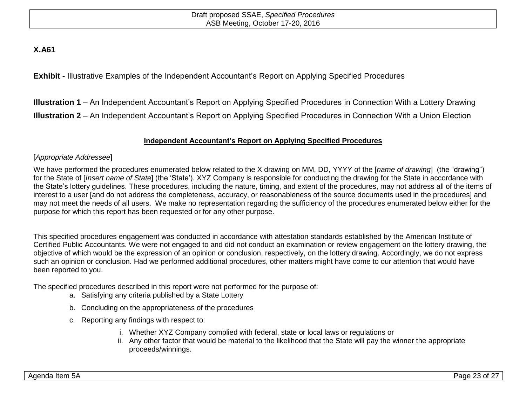# **X.A61**

**Exhibit -** Illustrative Examples of the Independent Accountant's Report on Applying Specified Procedures

**Illustration 1** – An Independent Accountant's Report on Applying Specified Procedures in Connection With a Lottery Drawing **Illustration 2** – An Independent Accountant's Report on Applying Specified Procedures in Connection With a Union Election

# **Independent Accountant's Report on Applying Specified Procedures**

## [*Appropriate Addressee*]

We have performed the procedures enumerated below related to the X drawing on MM, DD, YYYY of the [*name of drawing*] (the "drawing") for the State of [*Insert name of State*] (the 'State'). XYZ Company is responsible for conducting the drawing for the State in accordance with the State's lottery guidelines. These procedures, including the nature, timing, and extent of the procedures, may not address all of the items of interest to a user [and do not address the completeness, accuracy, or reasonableness of the source documents used in the procedures] and may not meet the needs of all users. We make no representation regarding the sufficiency of the procedures enumerated below either for the purpose for which this report has been requested or for any other purpose.

This specified procedures engagement was conducted in accordance with attestation standards established by the American Institute of Certified Public Accountants. We were not engaged to and did not conduct an examination or review engagement on the lottery drawing, the objective of which would be the expression of an opinion or conclusion, respectively, on the lottery drawing. Accordingly, we do not express such an opinion or conclusion. Had we performed additional procedures, other matters might have come to our attention that would have been reported to you.

The specified procedures described in this report were not performed for the purpose of:

- a. Satisfying any criteria published by a State Lottery
- b. Concluding on the appropriateness of the procedures
- c. Reporting any findings with respect to:
	- i. Whether XYZ Company complied with federal, state or local laws or regulations or
	- ii. Any other factor that would be material to the likelihood that the State will pay the winner the appropriate proceeds/winnings.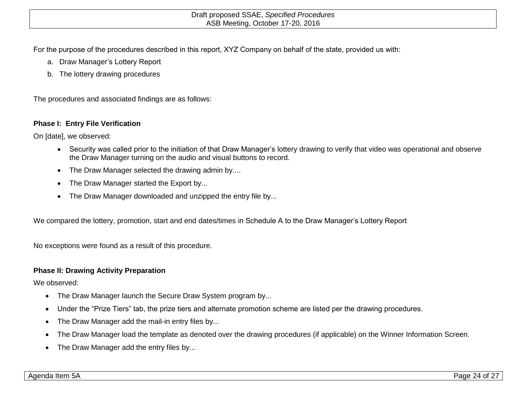For the purpose of the procedures described in this report, XYZ Company on behalf of the state, provided us with:

- a. Draw Manager's Lottery Report
- b. The lottery drawing procedures

The procedures and associated findings are as follows:

## **Phase I: Entry File Verification**

On [date], we observed:

- Security was called prior to the initiation of that Draw Manager's lottery drawing to verify that video was operational and observe the Draw Manager turning on the audio and visual buttons to record.
- The Draw Manager selected the drawing admin by....
- The Draw Manager started the Export by...
- The Draw Manager downloaded and unzipped the entry file by...

We compared the lottery, promotion, start and end dates/times in Schedule A to the Draw Manager's Lottery Report

No exceptions were found as a result of this procedure.

## **Phase II: Drawing Activity Preparation**

We observed:

- The Draw Manager launch the Secure Draw System program by...
- Under the "Prize Tiers" tab, the prize tiers and alternate promotion scheme are listed per the drawing procedures.
- The Draw Manager add the mail-in entry files by...
- The Draw Manager load the template as denoted over the drawing procedures (if applicable) on the Winner Information Screen.
- The Draw Manager add the entry files by...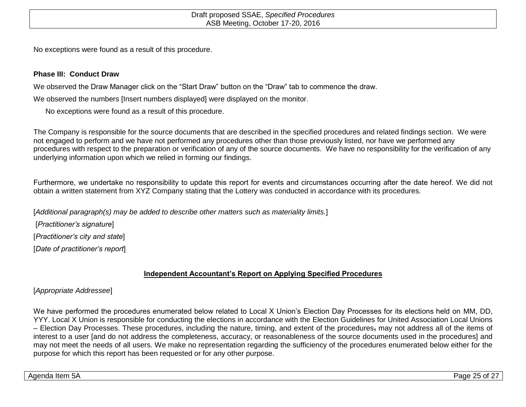No exceptions were found as a result of this procedure.

## **Phase III: Conduct Draw**

We observed the Draw Manager click on the "Start Draw" button on the "Draw" tab to commence the draw.

We observed the numbers [Insert numbers displayed] were displayed on the monitor.

No exceptions were found as a result of this procedure.

The Company is responsible for the source documents that are described in the specified procedures and related findings section. We were not engaged to perform and we have not performed any procedures other than those previously listed, nor have we performed any procedures with respect to the preparation or verification of any of the source documents. We have no responsibility for the verification of any underlying information upon which we relied in forming our findings.

Furthermore, we undertake no responsibility to update this report for events and circumstances occurring after the date hereof. We did not obtain a written statement from XYZ Company stating that the Lottery was conducted in accordance with its procedures.

[*Additional paragraph(s) may be added to describe other matters such as materiality limits.*]

[*Practitioner's signature*]

[*Practitioner's city and state*]

[*Date of practitioner's report*]

# **Independent Accountant's Report on Applying Specified Procedures**

# [*Appropriate Addressee*]

We have performed the procedures enumerated below related to Local X Union's Election Day Processes for its elections held on MM, DD, YYY. Local X Union is responsible for conducting the elections in accordance with the Election Guidelines for United Association Local Unions – Election Day Processes. These procedures, including the nature, timing, and extent of the procedures, may not address all of the items of interest to a user [and do not address the completeness, accuracy, or reasonableness of the source documents used in the procedures] and may not meet the needs of all users. We make no representation regarding the sufficiency of the procedures enumerated below either for the purpose for which this report has been requested or for any other purpose.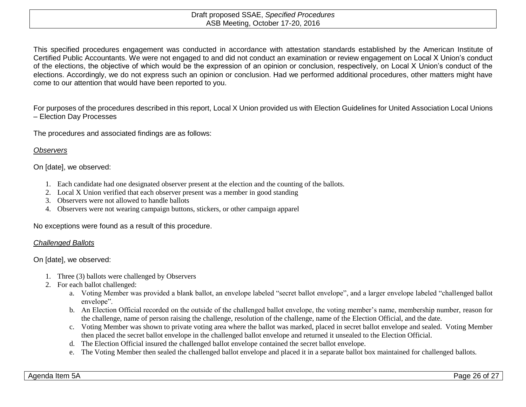This specified procedures engagement was conducted in accordance with attestation standards established by the American Institute of Certified Public Accountants. We were not engaged to and did not conduct an examination or review engagement on Local X Union's conduct of the elections, the objective of which would be the expression of an opinion or conclusion, respectively, on Local X Union's conduct of the elections. Accordingly, we do not express such an opinion or conclusion. Had we performed additional procedures, other matters might have come to our attention that would have been reported to you.

For purposes of the procedures described in this report, Local X Union provided us with Election Guidelines for United Association Local Unions – Election Day Processes

The procedures and associated findings are as follows:

## *Observers*

On [date], we observed:

- 1. Each candidate had one designated observer present at the election and the counting of the ballots.
- 2. Local X Union verified that each observer present was a member in good standing
- 3. Observers were not allowed to handle ballots
- 4. Observers were not wearing campaign buttons, stickers, or other campaign apparel

No exceptions were found as a result of this procedure.

#### *Challenged Ballots*

On [date], we observed:

- 1. Three (3) ballots were challenged by Observers
- 2. For each ballot challenged:
	- a. Voting Member was provided a blank ballot, an envelope labeled "secret ballot envelope", and a larger envelope labeled "challenged ballot envelope".
	- b. An Election Official recorded on the outside of the challenged ballot envelope, the voting member's name, membership number, reason for the challenge, name of person raising the challenge, resolution of the challenge, name of the Election Official, and the date.
	- c. Voting Member was shown to private voting area where the ballot was marked, placed in secret ballot envelope and sealed. Voting Member then placed the secret ballot envelope in the challenged ballot envelope and returned it unsealed to the Election Official.
	- d. The Election Official insured the challenged ballot envelope contained the secret ballot envelope.
	- e. The Voting Member then sealed the challenged ballot envelope and placed it in a separate ballot box maintained for challenged ballots.